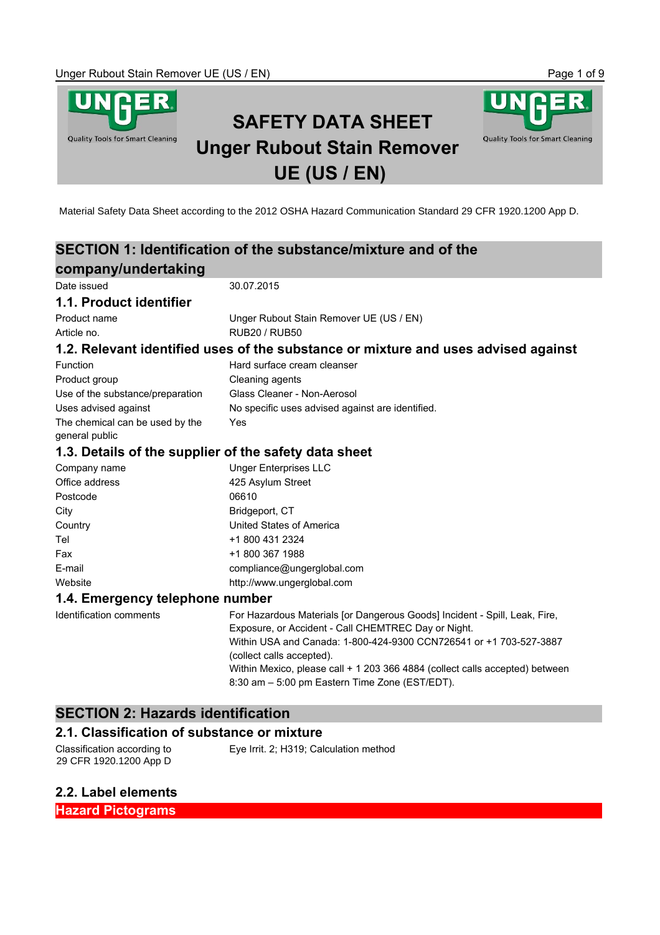

SDS according to Regulation (EC) No. 1907/2006 concerning the Registration, Evaluation, Authorisation and Material Safety Data Sheet according to the 2012 OSHA Hazard Communication Standard 29 CFR 1920.1200 App D.

|                                                       | SECTION 1: Identification of the substance/mixture and of the                      |
|-------------------------------------------------------|------------------------------------------------------------------------------------|
| company/undertaking                                   |                                                                                    |
| Date issued                                           | 30.07.2015                                                                         |
| 1.1. Product identifier                               |                                                                                    |
| Product name                                          | Unger Rubout Stain Remover UE (US / EN)                                            |
| Article no.                                           | <b>RUB20 / RUB50</b>                                                               |
|                                                       | 1.2. Relevant identified uses of the substance or mixture and uses advised against |
| Function                                              | Hard surface cream cleanser                                                        |
| Product group                                         | Cleaning agents                                                                    |
| Use of the substance/preparation                      | Glass Cleaner - Non-Aerosol                                                        |
| Uses advised against                                  | No specific uses advised against are identified.                                   |
| The chemical can be used by the                       | Yes                                                                                |
| general public                                        |                                                                                    |
| 1.3. Details of the supplier of the safety data sheet |                                                                                    |
| Company name                                          | <b>Unger Enterprises LLC</b>                                                       |
| Office address                                        | 425 Asylum Street                                                                  |
| Postcode                                              | 06610                                                                              |
| City                                                  | Bridgeport, CT                                                                     |
| Country                                               | United States of America                                                           |
| Tel                                                   | +1 800 431 2324                                                                    |
| Fax                                                   | +1 800 367 1988                                                                    |
| E-mail                                                | compliance@ungerglobal.com                                                         |
| Website                                               | http://www.ungerglobal.com                                                         |
| 1.4. Emergency telephone number                       |                                                                                    |
| <b>Identification comments</b>                        | For Hazardous Materials [or Dangerous Goods] Incident - Spill, Leak, Fire,         |
|                                                       | Exposure, or Accident - Call CHEMTREC Day or Night.                                |
|                                                       | Within USA and Canada: 1-800-424-9300 CCN726541 or +1 703-527-3887                 |
|                                                       | (collect calls accepted).                                                          |
|                                                       | Within Mexico, please call + 1 203 366 4884 (collect calls accepted) between       |
|                                                       | 8:30 am - 5:00 pm Eastern Time Zone (EST/EDT).                                     |
|                                                       |                                                                                    |

# **SECTION 2: Hazards identification**

## **2.1. Classification of substance or mixture**

Classification according to 29 CFR 1920.1200 App D Eye Irrit. 2; H319; Calculation method

## **2.2. Label elements**

**Hazard Pictograms**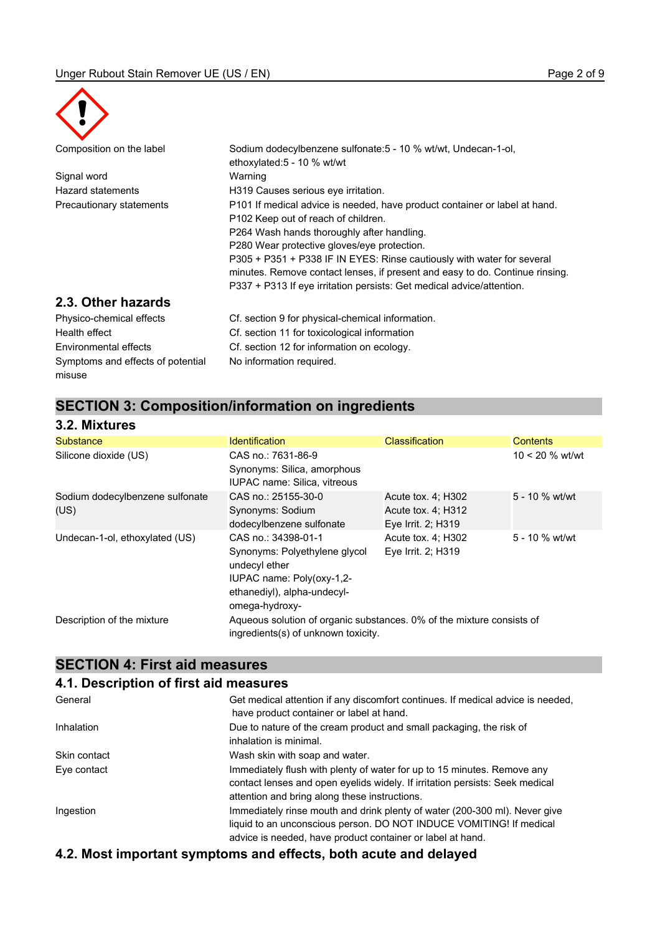

misuse

| Composition on the label          | Sodium dodecylbenzene sulfonate: 5 - 10 % wt/wt, Undecan-1-ol,<br>ethoxylated:5 - 10 % wt/wt |
|-----------------------------------|----------------------------------------------------------------------------------------------|
| Signal word                       | Warning                                                                                      |
| Hazard statements                 | H319 Causes serious eye irritation.                                                          |
| Precautionary statements          | P101 If medical advice is needed, have product container or label at hand.                   |
|                                   | P102 Keep out of reach of children.                                                          |
|                                   | P264 Wash hands thoroughly after handling.                                                   |
|                                   | P280 Wear protective gloves/eye protection.                                                  |
|                                   | P305 + P351 + P338 IF IN EYES: Rinse cautiously with water for several                       |
|                                   | minutes. Remove contact lenses, if present and easy to do. Continue rinsing.                 |
|                                   | P337 + P313 If eve irritation persists: Get medical advice/attention.                        |
| 2.3. Other hazards                |                                                                                              |
| Physico-chemical effects          | Cf. section 9 for physical-chemical information.                                             |
| Health effect                     | Cf. section 11 for toxicological information                                                 |
| Environmental effects             | Cf. section 12 for information on ecology.                                                   |
| Symptoms and effects of potential | No information required.                                                                     |

## **SECTION 3: Composition/information on ingredients**

| 3.2. Mixtures                           |                                                                                                                                                     |                                                                |                   |
|-----------------------------------------|-----------------------------------------------------------------------------------------------------------------------------------------------------|----------------------------------------------------------------|-------------------|
| <b>Substance</b>                        | <b>Identification</b>                                                                                                                               | <b>Classification</b>                                          | <b>Contents</b>   |
| Silicone dioxide (US)                   | CAS no.: 7631-86-9<br>Synonyms: Silica, amorphous<br><b>IUPAC name: Silica, vitreous</b>                                                            |                                                                | $10 < 20$ % wt/wt |
| Sodium dodecylbenzene sulfonate<br>(US) | CAS no.: 25155-30-0<br>Synonyms: Sodium<br>dodecylbenzene sulfonate                                                                                 | Acute tox. 4; H302<br>Acute tox. 4; H312<br>Eye Irrit. 2; H319 | 5 - 10 % wt/wt    |
| Undecan-1-ol, ethoxylated (US)          | CAS no.: 34398-01-1<br>Synonyms: Polyethylene glycol<br>undecyl ether<br>IUPAC name: Poly(oxy-1,2-<br>ethanediyl), alpha-undecyl-<br>omega-hydroxy- | Acute tox. 4: H302<br>Eye Irrit. 2; H319                       | 5 - 10 % wt/wt    |
| Description of the mixture              | Aqueous solution of organic substances. 0% of the mixture consists of<br>ingredients(s) of unknown toxicity.                                        |                                                                |                   |

# **SECTION 4: First aid measures**

## **4.1. Description of first aid measures**

| General      | Get medical attention if any discomfort continues. If medical advice is needed,                                                                                                                          |
|--------------|----------------------------------------------------------------------------------------------------------------------------------------------------------------------------------------------------------|
|              | have product container or label at hand.                                                                                                                                                                 |
| Inhalation   | Due to nature of the cream product and small packaging, the risk of<br>inhalation is minimal.                                                                                                            |
| Skin contact | Wash skin with soap and water.                                                                                                                                                                           |
| Eye contact  | Immediately flush with plenty of water for up to 15 minutes. Remove any<br>contact lenses and open eyelids widely. If irritation persists: Seek medical<br>attention and bring along these instructions. |
|              |                                                                                                                                                                                                          |
| Ingestion    | Immediately rinse mouth and drink plenty of water (200-300 ml). Never give<br>liquid to an unconscious person. DO NOT INDUCE VOMITING! If medical                                                        |
|              | advice is needed, have product container or label at hand.                                                                                                                                               |

# **4.2. Most important symptoms and effects, both acute and delayed**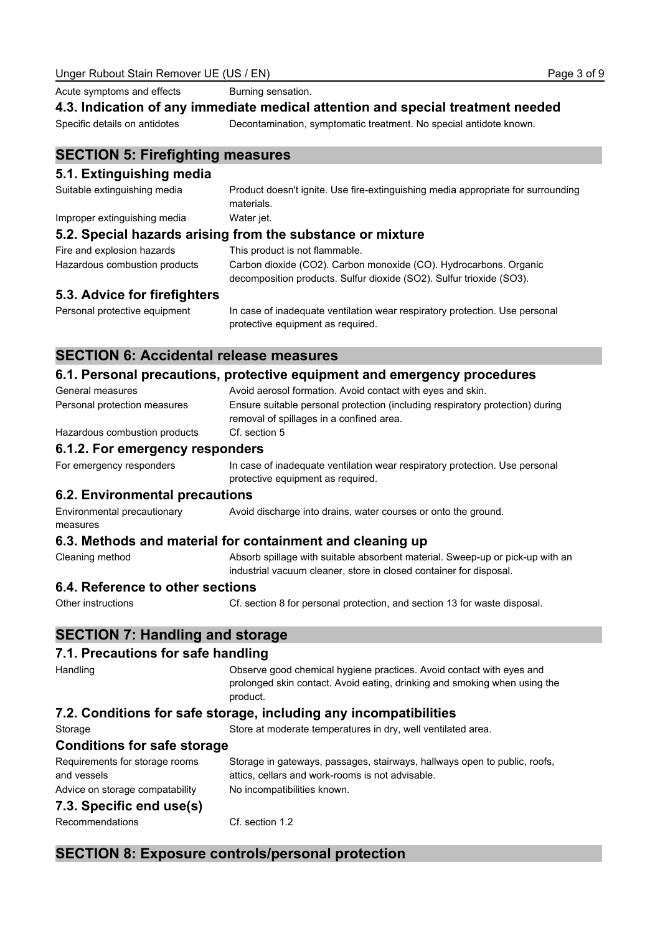Acute symptoms and effects **Burning sensation**.

#### **4.3. Indication of any immediate medical attention and special treatment needed**

Specific details on antidotes Decontamination, symptomatic treatment. No special antidote known.

## **SECTION 5: Firefighting measures**

#### **5.1. Extinguishing media**

Suitable extinguishing media Product doesn't ignite. Use fire-extinguishing media appropriate for surrounding materials. Improper extinguishing media Water jet. **5.2. Special hazards arising from the substance or mixture** Fire and explosion hazards This product is not flammable. Hazardous combustion products Carbon dioxide (CO2). Carbon monoxide (CO). Hydrocarbons. Organic

| ------------------------------ |                                                                      |
|--------------------------------|----------------------------------------------------------------------|
|                                | decomposition products. Sulfur dioxide (SO2). Sulfur trioxide (SO3). |

## **5.3. Advice for firefighters**

Personal protective equipment In case of inadequate ventilation wear respiratory protection. Use personal protective equipment as required.

## **SECTION 6: Accidental release measures**

## **6.1. Personal precautions, protective equipment and emergency procedures**

| General measures                              | Avoid aerosol formation. Avoid contact with eyes and skin.                                                                                                    |
|-----------------------------------------------|---------------------------------------------------------------------------------------------------------------------------------------------------------------|
| Personal protection measures                  | Ensure suitable personal protection (including respiratory protection) during<br>removal of spillages in a confined area.                                     |
| Hazardous combustion products                 | Cf. section 5                                                                                                                                                 |
| 6.1.2. For emergency responders               |                                                                                                                                                               |
| For emergency responders                      | In case of inadequate ventilation wear respiratory protection. Use personal<br>protective equipment as required.                                              |
| 6.2. Environmental precautions                |                                                                                                                                                               |
| Environmental precautionary<br>measures       | Avoid discharge into drains, water courses or onto the ground.                                                                                                |
|                                               | 6.3. Methods and material for containment and cleaning up                                                                                                     |
| Cleaning method                               | Absorb spillage with suitable absorbent material. Sweep-up or pick-up with an<br>industrial vacuum cleaner, store in closed container for disposal.           |
| 6.4. Reference to other sections              |                                                                                                                                                               |
| Other instructions                            | Cf. section 8 for personal protection, and section 13 for waste disposal.                                                                                     |
| <b>SECTION 7: Handling and storage</b>        |                                                                                                                                                               |
| 7.1. Precautions for safe handling            |                                                                                                                                                               |
| Handling                                      | Observe good chemical hygiene practices. Avoid contact with eyes and<br>prolonged skin contact. Avoid eating, drinking and smoking when using the<br>product. |
|                                               | 7.2. Conditions for safe storage, including any incompatibilities                                                                                             |
| Storage                                       | Store at moderate temperatures in dry, well ventilated area.                                                                                                  |
| <b>Conditions for safe storage</b>            |                                                                                                                                                               |
| Requirements for storage rooms<br>and vessels | Storage in gateways, passages, stairways, hallways open to public, roofs,<br>attics, cellars and work-rooms is not advisable.                                 |
| Advice on storage compatability               | No incompatibilities known.                                                                                                                                   |
| 7.3. Specific end use(s)                      |                                                                                                                                                               |
| Recommendations                               | Cf. section 1.2                                                                                                                                               |

## **SECTION 8: Exposure controls/personal protection**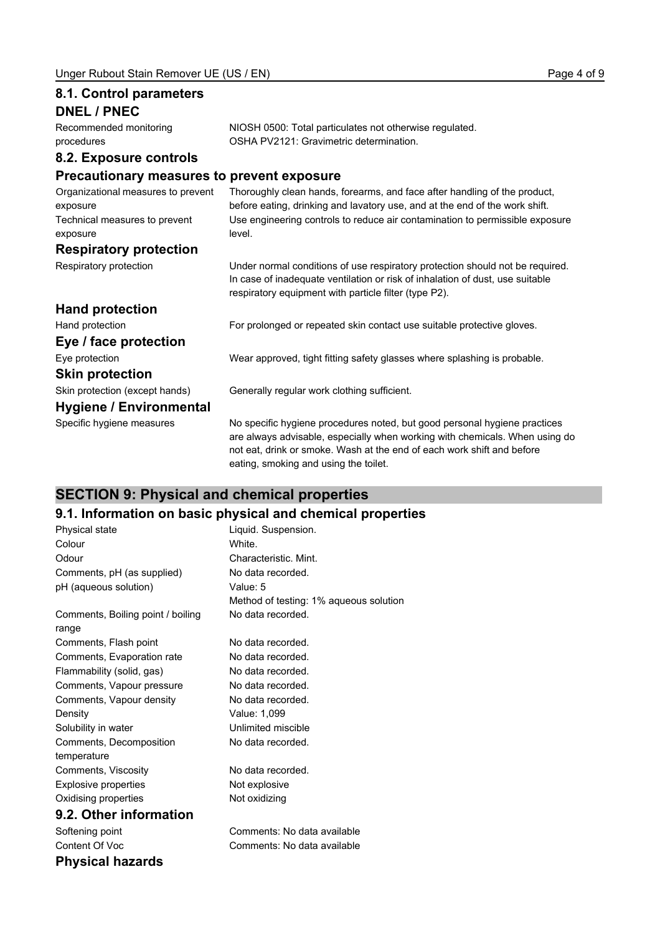**8.1. Control parameters**

| <b>DNEL / PNEC</b>                                                                          |                                                                                                                                                                                                                                                                             |
|---------------------------------------------------------------------------------------------|-----------------------------------------------------------------------------------------------------------------------------------------------------------------------------------------------------------------------------------------------------------------------------|
| Recommended monitoring<br>procedures                                                        | NIOSH 0500: Total particulates not otherwise regulated.<br>OSHA PV2121: Gravimetric determination.                                                                                                                                                                          |
| 8.2. Exposure controls                                                                      |                                                                                                                                                                                                                                                                             |
| <b>Precautionary measures to prevent exposure</b>                                           |                                                                                                                                                                                                                                                                             |
| Organizational measures to prevent<br>exposure<br>Technical measures to prevent<br>exposure | Thoroughly clean hands, forearms, and face after handling of the product,<br>before eating, drinking and lavatory use, and at the end of the work shift.<br>Use engineering controls to reduce air contamination to permissible exposure<br>level.                          |
| <b>Respiratory protection</b>                                                               |                                                                                                                                                                                                                                                                             |
| Respiratory protection                                                                      | Under normal conditions of use respiratory protection should not be required.<br>In case of inadequate ventilation or risk of inhalation of dust, use suitable<br>respiratory equipment with particle filter (type P2).                                                     |
| <b>Hand protection</b>                                                                      |                                                                                                                                                                                                                                                                             |
| Hand protection                                                                             | For prolonged or repeated skin contact use suitable protective gloves.                                                                                                                                                                                                      |
| Eye / face protection                                                                       |                                                                                                                                                                                                                                                                             |
| Eye protection                                                                              | Wear approved, tight fitting safety glasses where splashing is probable.                                                                                                                                                                                                    |
| <b>Skin protection</b>                                                                      |                                                                                                                                                                                                                                                                             |
| Skin protection (except hands)                                                              | Generally regular work clothing sufficient.                                                                                                                                                                                                                                 |
| Hygiene / Environmental                                                                     |                                                                                                                                                                                                                                                                             |
| Specific hygiene measures                                                                   | No specific hygiene procedures noted, but good personal hygiene practices<br>are always advisable, especially when working with chemicals. When using do<br>not eat, drink or smoke. Wash at the end of each work shift and before<br>eating, smoking and using the toilet. |

# **SECTION 9: Physical and chemical properties**

# **9.1. Information on basic physical and chemical properties**

| Physical state                    | Liquid. Suspension.                    |
|-----------------------------------|----------------------------------------|
| Colour                            | White.                                 |
| Odour                             | Characteristic. Mint.                  |
| Comments, pH (as supplied)        | No data recorded.                      |
| pH (aqueous solution)             | Value: 5                               |
|                                   | Method of testing: 1% aqueous solution |
| Comments, Boiling point / boiling | No data recorded.                      |
| range                             |                                        |
| Comments, Flash point             | No data recorded.                      |
| Comments, Evaporation rate        | No data recorded.                      |
| Flammability (solid, gas)         | No data recorded.                      |
| Comments, Vapour pressure         | No data recorded.                      |
| Comments, Vapour density          | No data recorded.                      |
| Density                           | Value: 1,099                           |
| Solubility in water               | Unlimited miscible                     |
| Comments, Decomposition           | No data recorded.                      |
| temperature                       |                                        |
| Comments, Viscosity               | No data recorded.                      |
| <b>Explosive properties</b>       | Not explosive                          |
| Oxidising properties              | Not oxidizing                          |
| 9.2. Other information            |                                        |
| Softening point                   | Comments: No data available            |
| Content Of Voc                    | Comments: No data available            |
| Physical hazards                  |                                        |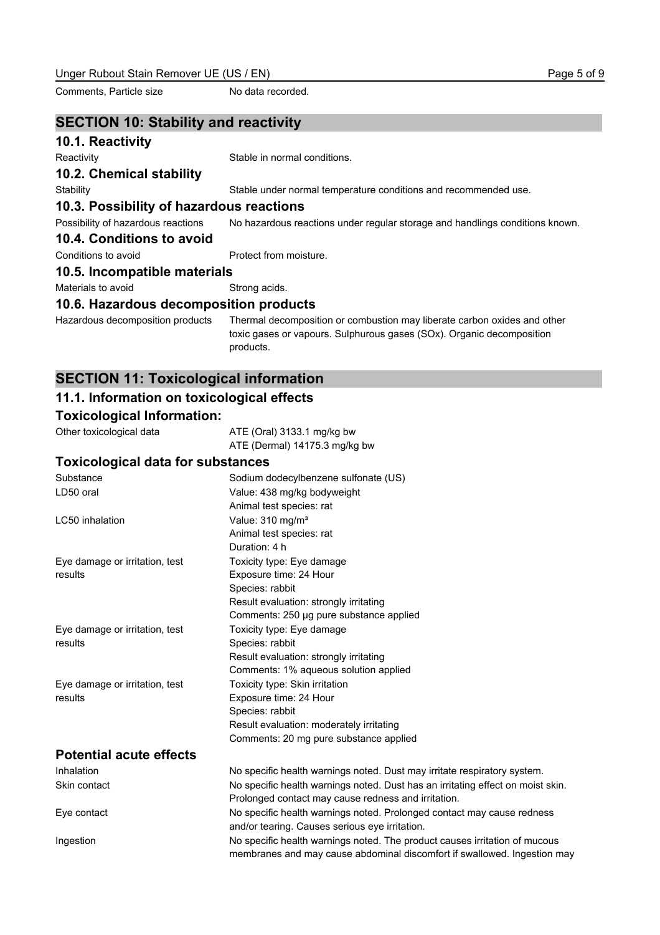Comments, Particle size No data recorded.

#### **SECTION 10: Stability and reactivity**

#### **10.1. Reactivity**

Reactivity **Stable in normal conditions.** 

**10.2. Chemical stability**

Stability Stable under normal temperature conditions and recommended use.

## **10.3. Possibility of hazardous reactions**

Possibility of hazardous reactions No hazardous reactions under regular storage and handlings conditions known.

#### **10.4. Conditions to avoid**

Conditions to avoid **Protect** from moisture.

#### **10.5. Incompatible materials**

Materials to avoid Strong acids.

#### **10.6. Hazardous decomposition products**

Hazardous decomposition products Thermal decomposition or combustion may liberate carbon oxides and other toxic gases or vapours. Sulphurous gases (SOx). Organic decomposition products.

## **SECTION 11: Toxicological information**

## **11.1. Information on toxicological effects**

## **Toxicological Information:**

Other toxicological data ATE (Oral) 3133.1 mg/kg bw ATE (Dermal) 14175.3 mg/kg bw

#### **Toxicological data for substances**

| Substance                      | Sodium dodecylbenzene sulfonate (US)                                            |
|--------------------------------|---------------------------------------------------------------------------------|
| LD50 oral                      | Value: 438 mg/kg bodyweight                                                     |
|                                | Animal test species: rat                                                        |
| LC50 inhalation                | Value: 310 mg/m <sup>3</sup>                                                    |
|                                | Animal test species: rat                                                        |
|                                | Duration: 4 h                                                                   |
| Eye damage or irritation, test | Toxicity type: Eye damage                                                       |
| results                        | Exposure time: 24 Hour                                                          |
|                                | Species: rabbit                                                                 |
|                                | Result evaluation: strongly irritating                                          |
|                                | Comments: 250 µg pure substance applied                                         |
| Eye damage or irritation, test | Toxicity type: Eye damage                                                       |
| results                        | Species: rabbit                                                                 |
|                                | Result evaluation: strongly irritating                                          |
|                                | Comments: 1% aqueous solution applied                                           |
| Eye damage or irritation, test | Toxicity type: Skin irritation                                                  |
| results                        | Exposure time: 24 Hour                                                          |
|                                | Species: rabbit                                                                 |
|                                | Result evaluation: moderately irritating                                        |
|                                | Comments: 20 mg pure substance applied                                          |
| <b>Potential acute effects</b> |                                                                                 |
| Inhalation                     | No specific health warnings noted. Dust may irritate respiratory system.        |
| Skin contact                   | No specific health warnings noted. Dust has an irritating effect on moist skin. |
|                                | Prolonged contact may cause redness and irritation.                             |
| Eye contact                    | No specific health warnings noted. Prolonged contact may cause redness          |
|                                | and/or tearing. Causes serious eye irritation.                                  |
| Ingestion                      | No specific health warnings noted. The product causes irritation of mucous      |
|                                | membranes and may cause abdominal discomfort if swallowed. Ingestion may        |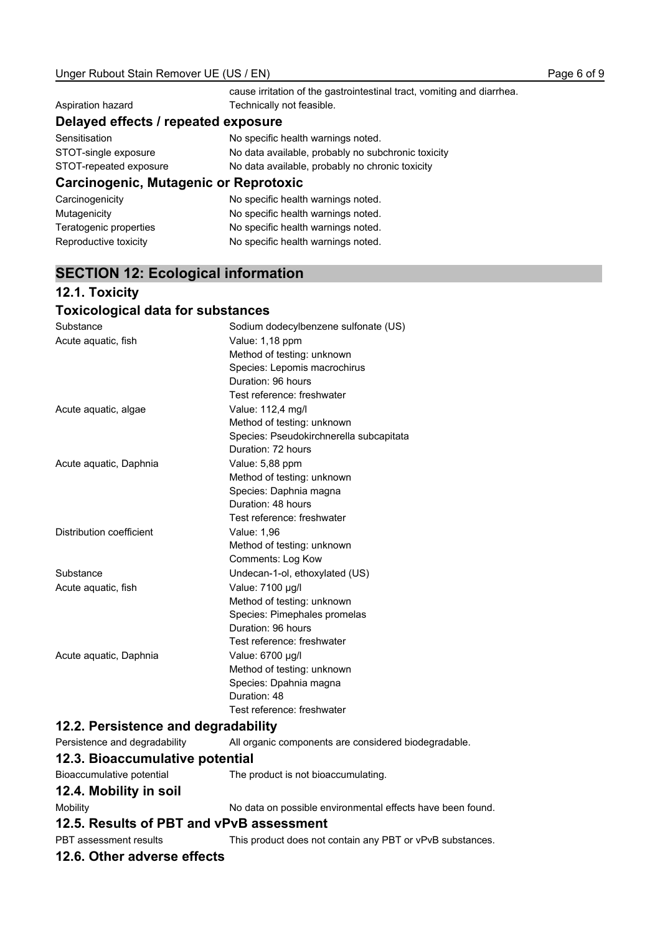|                                       | cause irritation of the gastrointestinal tract, vomiting and diarrhea. |
|---------------------------------------|------------------------------------------------------------------------|
| Aspiration hazard                     | Technically not feasible.                                              |
| Delayed effects / repeated exposure   |                                                                        |
| Sensitisation                         | No specific health warnings noted.                                     |
| STOT-single exposure                  | No data available, probably no subchronic toxicity                     |
| STOT-repeated exposure                | No data available, probably no chronic toxicity                        |
| Carcinogenic, Mutagenic or Reprotoxic |                                                                        |
| Carcinogenicity                       | No specific health warnings noted.                                     |
| Mutagenicity                          | No specific health warnings noted.                                     |
| Teratogenic properties                | No specific health warnings noted.                                     |

# **SECTION 12: Ecological information**

Reproductive toxicity **No specific health warnings noted.** 

# **12.1. Toxicity**

## **Toxicological data for substances**

| Substance                | Sodium dodecylbenzene sulfonate (US)    |
|--------------------------|-----------------------------------------|
| Acute aquatic, fish      | Value: 1,18 ppm                         |
|                          | Method of testing: unknown              |
|                          | Species: Lepomis macrochirus            |
|                          | Duration: 96 hours                      |
|                          | Test reference: freshwater              |
| Acute aquatic, algae     | Value: 112,4 mg/l                       |
|                          | Method of testing: unknown              |
|                          | Species: Pseudokirchnerella subcapitata |
|                          | Duration: 72 hours                      |
| Acute aguatic, Daphnia   | Value: 5,88 ppm                         |
|                          | Method of testing: unknown              |
|                          | Species: Daphnia magna                  |
|                          | Duration: 48 hours                      |
|                          | Test reference: freshwater              |
| Distribution coefficient | Value: 1,96                             |
|                          | Method of testing: unknown              |
|                          | Comments: Log Kow                       |
| Substance                | Undecan-1-ol, ethoxylated (US)          |
| Acute aquatic, fish      | Value: 7100 µg/l                        |
|                          | Method of testing: unknown              |
|                          | Species: Pimephales promelas            |
|                          | Duration: 96 hours                      |
|                          | Test reference: freshwater              |
| Acute aguatic, Daphnia   | Value: 6700 µg/l                        |
|                          | Method of testing: unknown              |
|                          | Species: Dpahnia magna                  |
|                          | Duration: 48                            |
|                          | Test reference: freshwater              |

# **12.2. Persistence and degradability**

| Persistence and degradability            | All organic components are considered biodegradable.       |  |
|------------------------------------------|------------------------------------------------------------|--|
| 12.3. Bioaccumulative potential          |                                                            |  |
| Bioaccumulative potential                | The product is not bioaccumulating.                        |  |
| 12.4. Mobility in soil                   |                                                            |  |
| Mobility                                 | No data on possible environmental effects have been found. |  |
| 12.5. Results of PBT and vPvB assessment |                                                            |  |
| PBT assessment results                   | This product does not contain any PBT or vPvB substances.  |  |

## **12.6. Other adverse effects**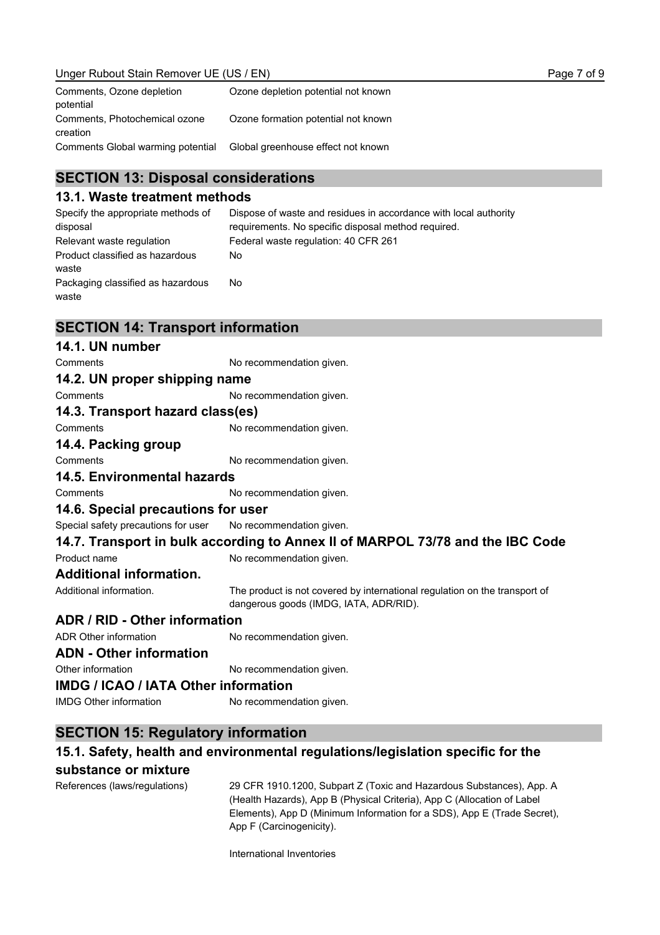| Comments, Ozone depletion<br>potential    | Ozone depletion potential not known |
|-------------------------------------------|-------------------------------------|
| Comments, Photochemical ozone<br>creation | Ozone formation potential not known |
| Comments Global warming potential         | Global greenhouse effect not known  |

## **SECTION 13: Disposal considerations**

#### **13.1. Waste treatment methods**

Specify the appropriate methods of disposal Dispose of waste and residues in accordance with local authority requirements. No specific disposal method required. Relevant waste regulation Federal waste regulation: 40 CFR 261 Product classified as hazardous waste No Packaging classified as hazardous waste No

## **SECTION 14: Transport information**

## **14.1. UN number** Comments **No recommendation given. 14.2. UN proper shipping name** Comments No recommendation given. **14.3. Transport hazard class(es)** Comments No recommendation given. **14.4. Packing group** Comments No recommendation given. **14.5. Environmental hazards** Comments **No recommendation given. 14.6. Special precautions for user** Special safety precautions for user No recommendation given. **14.7. Transport in bulk according to Annex II of MARPOL 73/78 and the IBC Code** Product name No recommendation given. **Additional information.** Additional information. The product is not covered by international regulation on the transport of dangerous goods (IMDG, IATA, ADR/RID). **ADR / RID - Other information** ADR Other information No recommendation given. **ADN - Other information** Other information No recommendation given. **IMDG / ICAO / IATA Other information** IMDG Other information No recommendation given.

# **SECTION 15: Regulatory information**

## **15.1. Safety, health and environmental regulations/legislation specific for the substance or mixture**

References (laws/regulations) 29 CFR 1910.1200, Subpart Z (Toxic and Hazardous Substances), App. A (Health Hazards), App B (Physical Criteria), App C (Allocation of Label Elements), App D (Minimum Information for a SDS), App E (Trade Secret), App F (Carcinogenicity).

International Inventories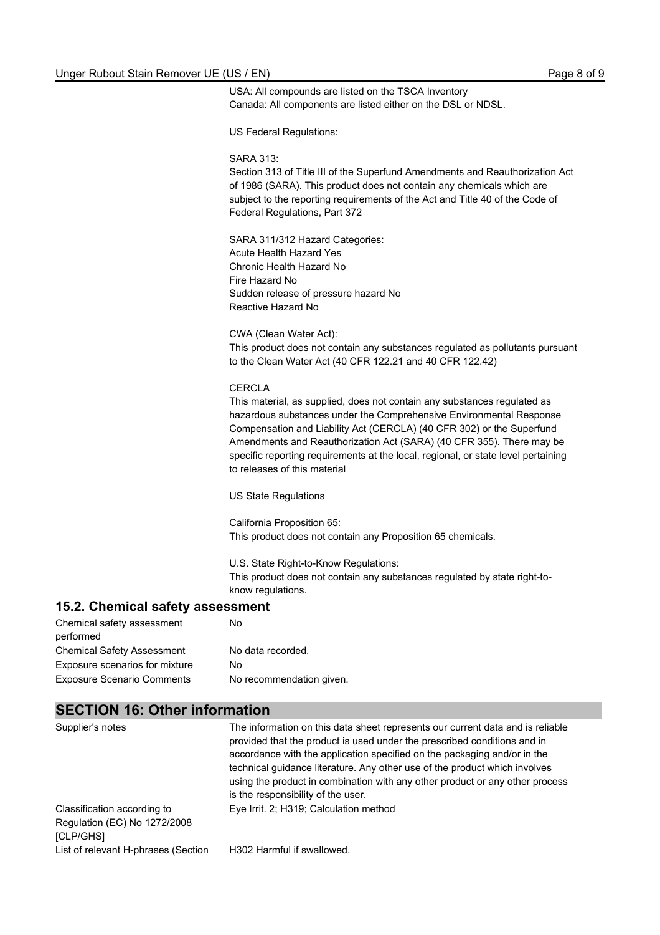USA: All compounds are listed on the TSCA Inventory Canada: All components are listed either on the DSL or NDSL.

US Federal Regulations:

#### SARA 313:

Section 313 of Title III of the Superfund Amendments and Reauthorization Act of 1986 (SARA). This product does not contain any chemicals which are subject to the reporting requirements of the Act and Title 40 of the Code of Federal Regulations, Part 372

SARA 311/312 Hazard Categories: Acute Health Hazard Yes Chronic Health Hazard No Fire Hazard No Sudden release of pressure hazard No Reactive Hazard No

CWA (Clean Water Act): This product does not contain any substances regulated as pollutants pursuant to the Clean Water Act (40 CFR 122.21 and 40 CFR 122.42)

#### CERCLA

This material, as supplied, does not contain any substances regulated as hazardous substances under the Comprehensive Environmental Response Compensation and Liability Act (CERCLA) (40 CFR 302) or the Superfund Amendments and Reauthorization Act (SARA) (40 CFR 355). There may be specific reporting requirements at the local, regional, or state level pertaining to releases of this material

US State Regulations

California Proposition 65: This product does not contain any Proposition 65 chemicals.

U.S. State Right-to-Know Regulations: This product does not contain any substances regulated by state right-toknow regulations.

#### **15.2. Chemical safety assessment**

| N٥                       |
|--------------------------|
|                          |
| No data recorded.        |
| N٥                       |
| No recommendation given. |
|                          |

### **SECTION 16: Other information**

| Supplier's notes                    | The information on this data sheet represents our current data and is reliable<br>provided that the product is used under the prescribed conditions and in |
|-------------------------------------|------------------------------------------------------------------------------------------------------------------------------------------------------------|
|                                     | accordance with the application specified on the packaging and/or in the                                                                                   |
|                                     | technical guidance literature. Any other use of the product which involves                                                                                 |
|                                     | using the product in combination with any other product or any other process                                                                               |
|                                     | is the responsibility of the user.                                                                                                                         |
| Classification according to         | Eye Irrit. 2; H319; Calculation method                                                                                                                     |
| Regulation (EC) No 1272/2008        |                                                                                                                                                            |
| <b>[CLP/GHS]</b>                    |                                                                                                                                                            |
| List of relevant H-phrases (Section | H302 Harmful if swallowed.                                                                                                                                 |